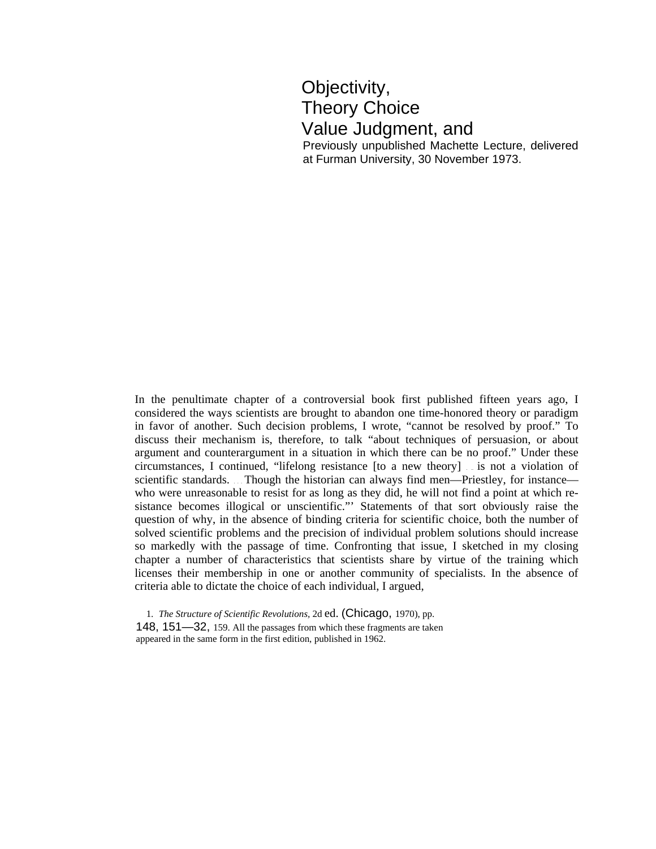Objectivity, Theory Choice Value Judgment, and Previously unpublished Machette Lecture, delivered at Furman University, 30 November 1973.

In the penultimate chapter of a controversial book first published fifteen years ago, I considered the ways scientists are brought to abandon one time-honored theory or paradigm in favor of another. Such decision problems, I wrote, "cannot be resolved by proof." To discuss their mechanism is, therefore, to talk "about techniques of persuasion, or about argument and counterargument in a situation in which there can be no proof." Under these circumstances, I continued, "lifelong resistance [to a new theory] . .. is not a violation of scientific standards. ... Though the historian can always find men—Priestley, for instance who were unreasonable to resist for as long as they did, he will not find a point at which resistance becomes illogical or unscientific."' Statements of that sort obviously raise the question of why, in the absence of binding criteria for scientific choice, both the number of solved scientific problems and the precision of individual problem solutions should increase so markedly with the passage of time. Confronting that issue, I sketched in my closing chapter a number of characteristics that scientists share by virtue of the training which licenses their membership in one or another community of specialists. In the absence of criteria able to dictate the choice of each individual, I argued,

1. *The Structure of Scientific Revolutions,* 2d ed. (Chicago, 1970), pp. 148, 151—32, 159. All the passages from which these fragments are taken appeared in the same form in the first edition, published in 1962.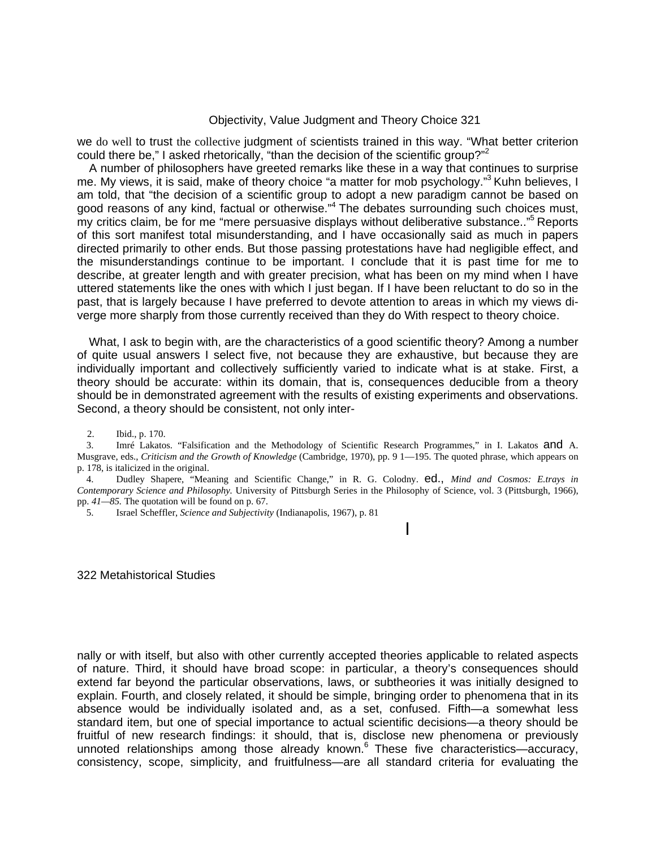## Objectivity, Value Judgment and Theory Choice 321

we do well to trust the collective judgment of scientists trained in this way. "What better criterion could there be," I asked rhetorically, "than the decision of the scientific group?"<sup>2</sup>

A number of philosophers have greeted remarks like these in a way that continues to surprise me. My views, it is said, make of theory choice "a matter for mob psychology." Kuhn believes, I am told, that "the decision of a scientific group to adopt a new paradigm cannot be based on good reasons of any kind, factual or otherwise."<sup>4</sup> The debates surrounding such choices must, my critics claim, be for me "mere persuasive displays without deliberative substance.."5 Reports of this sort manifest total misunderstanding, and I have occasionally said as much in papers directed primarily to other ends. But those passing protestations have had negligible effect, and the misunderstandings continue to be important. I conclude that it is past time for me to describe, at greater length and with greater precision, what has been on my mind when I have uttered statements like the ones with which I just began. If I have been reluctant to do so in the past, that is largely because I have preferred to devote attention to areas in which my views diverge more sharply from those currently received than they do With respect to theory choice.

What, I ask to begin with, are the characteristics of a good scientific theory? Among a number of quite usual answers I select five, not because they are exhaustive, but because they are individually important and collectively sufficiently varied to indicate what is at stake. First, a theory should be accurate: within its domain, that is, consequences deducible from a theory should be in demonstrated agreement with the results of existing experiments and observations. Second, a theory should be consistent, not only inter-

3. Imré Lakatos. "Falsification and the Methodology of Scientific Research Programmes," in I. Lakatos and A. Musgrave, eds., *Criticism and the Growth of Knowledge* (Cambridge, 1970), pp. 9 1—195. The quoted phrase, which appears on p. 178, is italicized in the original.

4. Dudley Shapere, "Meaning and Scientific Change," in R. G. Colodny. ed., *Mind and Cosmos: E.trays in Contemporary Science and Philosophy.* University of Pittsburgh Series in the Philosophy of Science, vol. 3 (Pittsburgh, 1966), pp. *41—85.* The quotation will be found on p. 67.

5. Israel Scheffler, *Science and Subjectivity* (Indianapolis, 1967), p. 81

**In the contract of the contract of the contract of the contract of the contract of the contract of the contract of the contract of the contract of the contract of the contract of the contract of the contract of the contra** 

322 Metahistorical Studies

nally or with itself, but also with other currently accepted theories applicable to related aspects of nature. Third, it should have broad scope: in particular, a theory's consequences should extend far beyond the particular observations, laws, or subtheories it was initially designed to explain. Fourth, and closely related, it should be simple, bringing order to phenomena that in its absence would be individually isolated and, as a set, confused. Fifth—a somewhat less standard item, but one of special importance to actual scientific decisions—a theory should be fruitful of new research findings: it should, that is, disclose new phenomena or previously unnoted relationships among those already known.<sup>6</sup> These five characteristics—accuracy, consistency, scope, simplicity, and fruitfulness—are all standard criteria for evaluating the

<sup>2.</sup> Ibid., p. 170.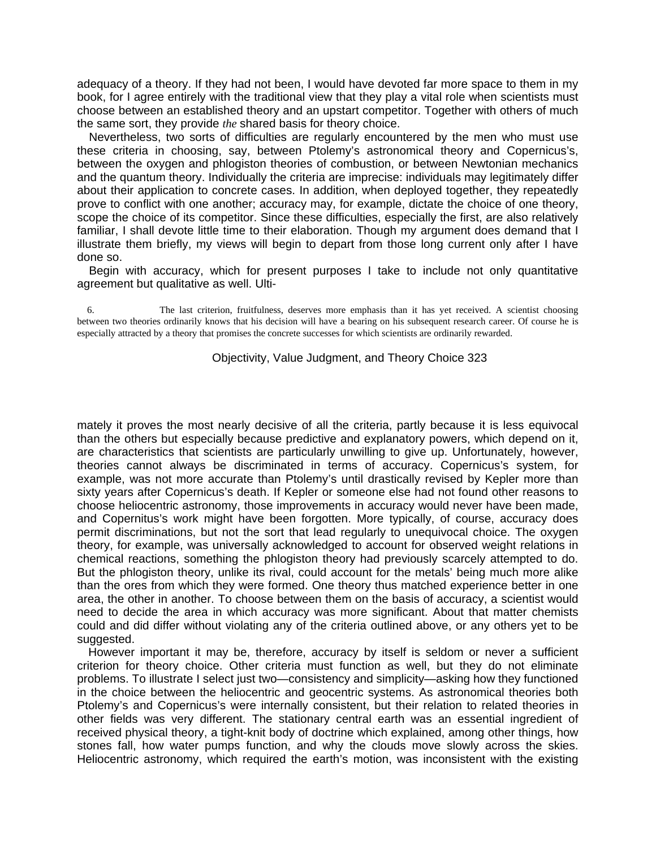adequacy of a theory. If they had not been, I would have devoted far more space to them in my book, for I agree entirely with the traditional view that they play a vital role when scientists must choose between an established theory and an upstart competitor. Together with others of much the same sort, they provide *the* shared basis for theory choice.

Nevertheless, two sorts of difficulties are regularly encountered by the men who must use these criteria in choosing, say, between Ptolemy's astronomical theory and Copernicus's, between the oxygen and phlogiston theories of combustion, or between Newtonian mechanics and the quantum theory. Individually the criteria are imprecise: individuals may legitimately differ about their application to concrete cases. In addition, when deployed together, they repeatedly prove to conflict with one another; accuracy may, for example, dictate the choice of one theory, scope the choice of its competitor. Since these difficulties, especially the first, are also relatively familiar, I shall devote little time to their elaboration. Though my argument does demand that I illustrate them briefly, my views will begin to depart from those long current only after I have done so.

Begin with accuracy, which for present purposes I take to include not only quantitative agreement but qualitative as well. Ulti-

6. The last criterion, fruitfulness, deserves more emphasis than it has yet received. A scientist choosing between two theories ordinarily knows that his decision will have a bearing on his subsequent research career. Of course he is especially attracted by a theory that promises the concrete successes for which scientists are ordinarily rewarded.

Objectivity, Value Judgment, and Theory Choice 323

mately it proves the most nearly decisive of all the criteria, partly because it is less equivocal than the others but especially because predictive and explanatory powers, which depend on it, are characteristics that scientists are particularly unwilling to give up. Unfortunately, however, theories cannot always be discriminated in terms of accuracy. Copernicus's system, for example, was not more accurate than Ptolemy's until drastically revised by Kepler more than sixty years after Copernicus's death. If Kepler or someone else had not found other reasons to choose heliocentric astronomy, those improvements in accuracy would never have been made, and Copernitus's work might have been forgotten. More typically, of course, accuracy does permit discriminations, but not the sort that lead regularly to unequivocal choice. The oxygen theory, for example, was universally acknowledged to account for observed weight relations in chemical reactions, something the phlogiston theory had previously scarcely attempted to do. But the phlogiston theory, unlike its rival, could account for the metals' being much more alike than the ores from which they were formed. One theory thus matched experience better in one area, the other in another. To choose between them on the basis of accuracy, a scientist would need to decide the area in which accuracy was more significant. About that matter chemists could and did differ without violating any of the criteria outlined above, or any others yet to be suggested.

However important it may be, therefore, accuracy by itself is seldom or never a sufficient criterion for theory choice. Other criteria must function as well, but they do not eliminate problems. To illustrate I select just two—consistency and simplicity—asking how they functioned in the choice between the heliocentric and geocentric systems. As astronomical theories both Ptolemy's and Copernicus's were internally consistent, but their relation to related theories in other fields was very different. The stationary central earth was an essential ingredient of received physical theory, a tight-knit body of doctrine which explained, among other things, how stones fall, how water pumps function, and why the clouds move slowly across the skies. Heliocentric astronomy, which required the earth's motion, was inconsistent with the existing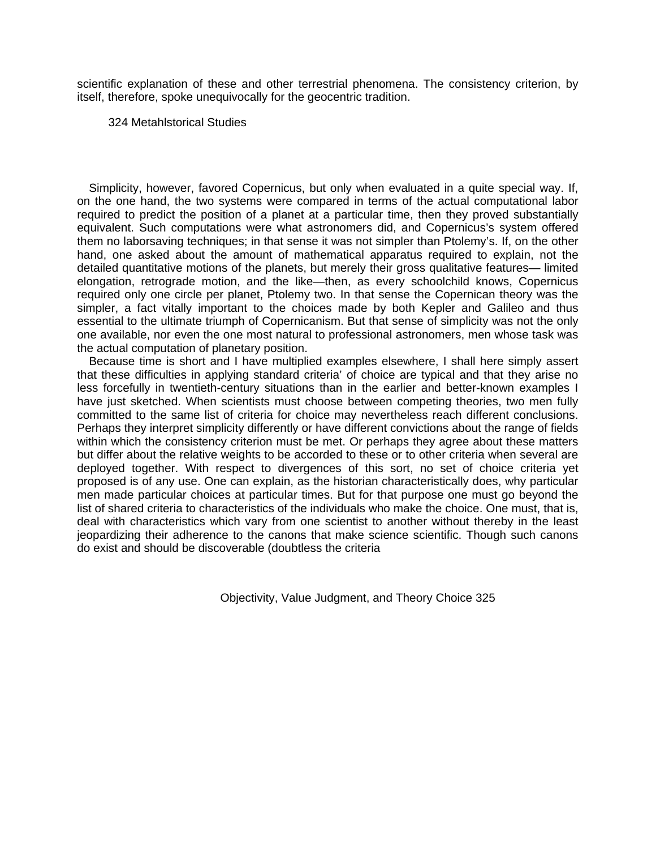scientific explanation of these and other terrestrial phenomena. The consistency criterion, by itself, therefore, spoke unequivocally for the geocentric tradition.

324 Metahlstorical Studies

Simplicity, however, favored Copernicus, but only when evaluated in a quite special way. If, on the one hand, the two systems were compared in terms of the actual computational labor required to predict the position of a planet at a particular time, then they proved substantially equivalent. Such computations were what astronomers did, and Copernicus's system offered them no laborsaving techniques; in that sense it was not simpler than Ptolemy's. If, on the other hand, one asked about the amount of mathematical apparatus required to explain, not the detailed quantitative motions of the planets, but merely their gross qualitative features— limited elongation, retrograde motion, and the like—then, as every schoolchild knows, Copernicus required only one circle per planet, Ptolemy two. In that sense the Copernican theory was the simpler, a fact vitally important to the choices made by both Kepler and Galileo and thus essential to the ultimate triumph of Copernicanism. But that sense of simplicity was not the only one available, nor even the one most natural to professional astronomers, men whose task was the actual computation of planetary position.

Because time is short and I have multiplied examples elsewhere, I shall here simply assert that these difficulties in applying standard criteria' of choice are typical and that they arise no less forcefully in twentieth-century situations than in the earlier and better-known examples I have just sketched. When scientists must choose between competing theories, two men fully committed to the same list of criteria for choice may nevertheless reach different conclusions. Perhaps they interpret simplicity differently or have different convictions about the range of fields within which the consistency criterion must be met. Or perhaps they agree about these matters but differ about the relative weights to be accorded to these or to other criteria when several are deployed together. With respect to divergences of this sort, no set of choice criteria yet proposed is of any use. One can explain, as the historian characteristically does, why particular men made particular choices at particular times. But for that purpose one must go beyond the list of shared criteria to characteristics of the individuals who make the choice. One must, that is, deal with characteristics which vary from one scientist to another without thereby in the least jeopardizing their adherence to the canons that make science scientific. Though such canons do exist and should be discoverable (doubtless the criteria

Objectivity, Value Judgment, and Theory Choice 325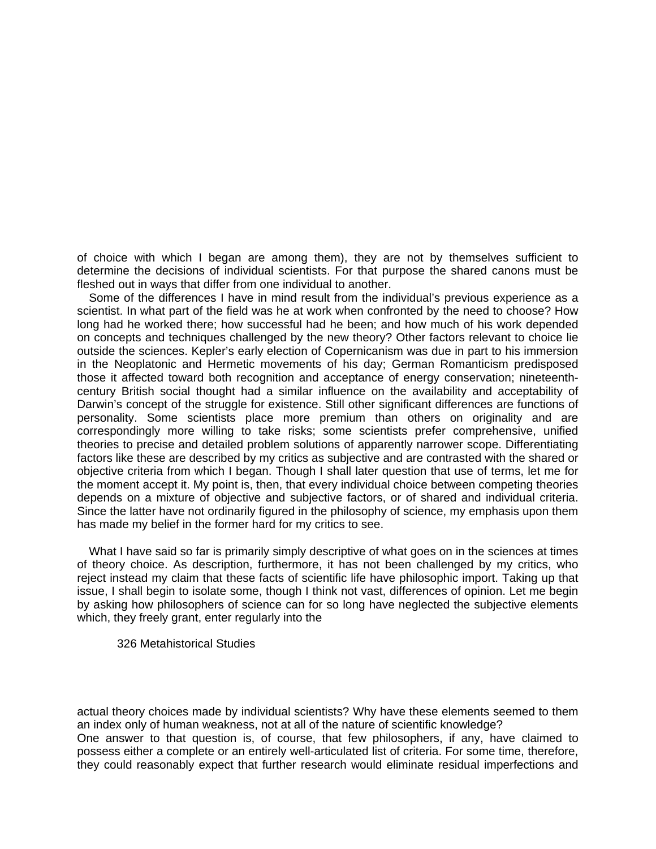of choice with which I began are among them), they are not by themselves sufficient to determine the decisions of individual scientists. For that purpose the shared canons must be fleshed out in ways that differ from one individual to another.

Some of the differences I have in mind result from the individual's previous experience as a scientist. In what part of the field was he at work when confronted by the need to choose? How long had he worked there; how successful had he been; and how much of his work depended on concepts and techniques challenged by the new theory? Other factors relevant to choice lie outside the sciences. Kepler's early election of Copernicanism was due in part to his immersion in the Neoplatonic and Hermetic movements of his day; German Romanticism predisposed those it affected toward both recognition and acceptance of energy conservation; nineteenthcentury British social thought had a similar influence on the availability and acceptability of Darwin's concept of the struggle for existence. Still other significant differences are functions of personality. Some scientists place more premium than others on originality and are correspondingly more willing to take risks; some scientists prefer comprehensive, unified theories to precise and detailed problem solutions of apparently narrower scope. Differentiating factors like these are described by my critics as subjective and are contrasted with the shared or objective criteria from which I began. Though I shall later question that use of terms, let me for the moment accept it. My point is, then, that every individual choice between competing theories depends on a mixture of objective and subjective factors, or of shared and individual criteria. Since the latter have not ordinarily figured in the philosophy of science, my emphasis upon them has made my belief in the former hard for my critics to see.

What I have said so far is primarily simply descriptive of what goes on in the sciences at times of theory choice. As description, furthermore, it has not been challenged by my critics, who reject instead my claim that these facts of scientific life have philosophic import. Taking up that issue, I shall begin to isolate some, though I think not vast, differences of opinion. Let me begin by asking how philosophers of science can for so long have neglected the subjective elements which, they freely grant, enter regularly into the

326 Metahistorical Studies

actual theory choices made by individual scientists? Why have these elements seemed to them an index only of human weakness, not at all of the nature of scientific knowledge? One answer to that question is, of course, that few philosophers, if any, have claimed to possess either a complete or an entirely well-articulated list of criteria. For some time, therefore, they could reasonably expect that further research would eliminate residual imperfections and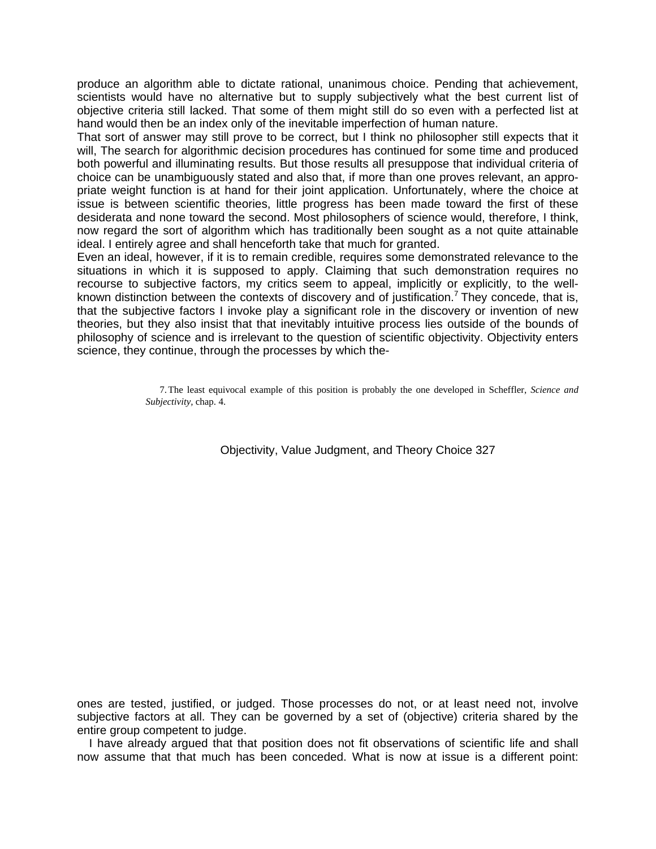produce an algorithm able to dictate rational, unanimous choice. Pending that achievement, scientists would have no alternative but to supply subjectively what the best current list of objective criteria still lacked. That some of them might still do so even with a perfected list at hand would then be an index only of the inevitable imperfection of human nature.

That sort of answer may still prove to be correct, but I think no philosopher still expects that it will, The search for algorithmic decision procedures has continued for some time and produced both powerful and illuminating results. But those results all presuppose that individual criteria of choice can be unambiguously stated and also that, if more than one proves relevant, an appropriate weight function is at hand for their joint application. Unfortunately, where the choice at issue is between scientific theories, little progress has been made toward the first of these desiderata and none toward the second. Most philosophers of science would, therefore, I think, now regard the sort of algorithm which has traditionally been sought as a not quite attainable ideal. I entirely agree and shall henceforth take that much for granted.

Even an ideal, however, if it is to remain credible, requires some demonstrated relevance to the situations in which it is supposed to apply. Claiming that such demonstration requires no recourse to subjective factors, my critics seem to appeal, implicitly or explicitly, to the wellknown distinction between the contexts of discovery and of justification.<sup>7</sup> They concede, that is, that the subjective factors I invoke play a significant role in the discovery or invention of new theories, but they also insist that that inevitably intuitive process lies outside of the bounds of philosophy of science and is irrelevant to the question of scientific objectivity. Objectivity enters science, they continue, through the processes by which the-

> 7. The least equivocal example of this position is probably the one developed in Scheffler, *Science and Subjectivity,* chap. 4.

> > Objectivity, Value Judgment, and Theory Choice 327

ones are tested, justified, or judged. Those processes do not, or at least need not, involve subjective factors at all. They can be governed by a set of (objective) criteria shared by the entire group competent to judge.

I have already argued that that position does not fit observations of scientific life and shall now assume that that much has been conceded. What is now at issue is a different point: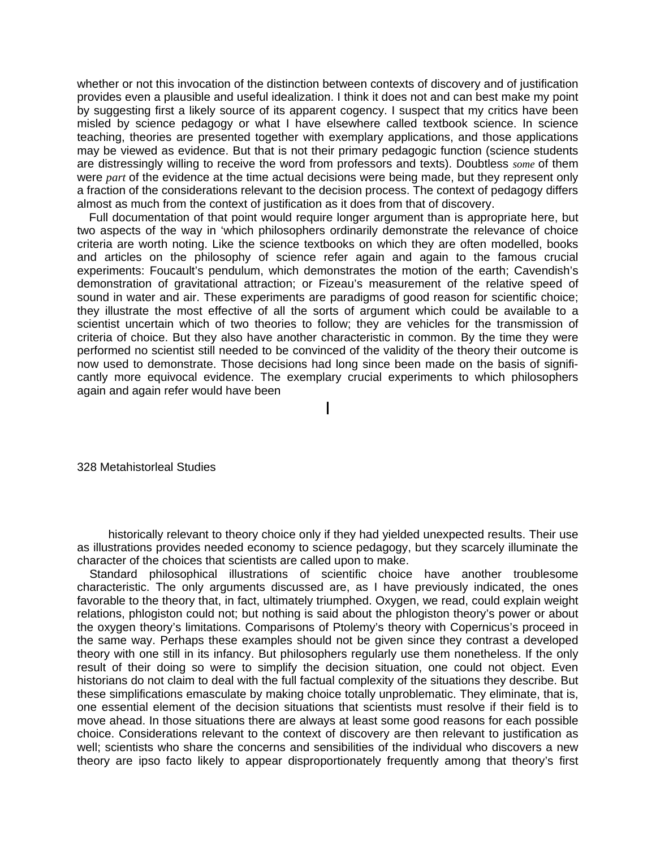whether or not this invocation of the distinction between contexts of discovery and of justification provides even a plausible and useful idealization. I think it does not and can best make my point by suggesting first a likely source of its apparent cogency. I suspect that my critics have been misled by science pedagogy or what I have elsewhere called textbook science. In science teaching, theories are presented together with exemplary applications, and those applications may be viewed as evidence. But that is not their primary pedagogic function (science students are distressingly willing to receive the word from professors and texts). Doubtless *some* of them were *part* of the evidence at the time actual decisions were being made, but they represent only a fraction of the considerations relevant to the decision process. The context of pedagogy differs almost as much from the context of justification as it does from that of discovery.

Full documentation of that point would require longer argument than is appropriate here, but two aspects of the way in 'which philosophers ordinarily demonstrate the relevance of choice criteria are worth noting. Like the science textbooks on which they are often modelled, books and articles on the philosophy of science refer again and again to the famous crucial experiments: Foucault's pendulum, which demonstrates the motion of the earth; Cavendish's demonstration of gravitational attraction; or Fizeau's measurement of the relative speed of sound in water and air. These experiments are paradigms of good reason for scientific choice; they illustrate the most effective of all the sorts of argument which could be available to a scientist uncertain which of two theories to follow; they are vehicles for the transmission of criteria of choice. But they also have another characteristic in common. By the time they were performed no scientist still needed to be convinced of the validity of the theory their outcome is now used to demonstrate. Those decisions had long since been made on the basis of significantly more equivocal evidence. The exemplary crucial experiments to which philosophers again and again refer would have been

I

328 Metahistorleal Studies

historically relevant to theory choice only if they had yielded unexpected results. Their use as illustrations provides needed economy to science pedagogy, but they scarcely illuminate the character of the choices that scientists are called upon to make.

Standard philosophical illustrations of scientific choice have another troublesome characteristic. The only arguments discussed are, as I have previously indicated, the ones favorable to the theory that, in fact, ultimately triumphed. Oxygen, we read, could explain weight relations, phlogiston could not; but nothing is said about the phlogiston theory's power or about the oxygen theory's limitations. Comparisons of Ptolemy's theory with Copernicus's proceed in the same way. Perhaps these examples should not be given since they contrast a developed theory with one still in its infancy. But philosophers regularly use them nonetheless. If the only result of their doing so were to simplify the decision situation, one could not object. Even historians do not claim to deal with the full factual complexity of the situations they describe. But these simplifications emasculate by making choice totally unproblematic. They eliminate, that is, one essential element of the decision situations that scientists must resolve if their field is to move ahead. In those situations there are always at least some good reasons for each possible choice. Considerations relevant to the context of discovery are then relevant to justification as well; scientists who share the concerns and sensibilities of the individual who discovers a new theory are ipso facto likely to appear disproportionately frequently among that theory's first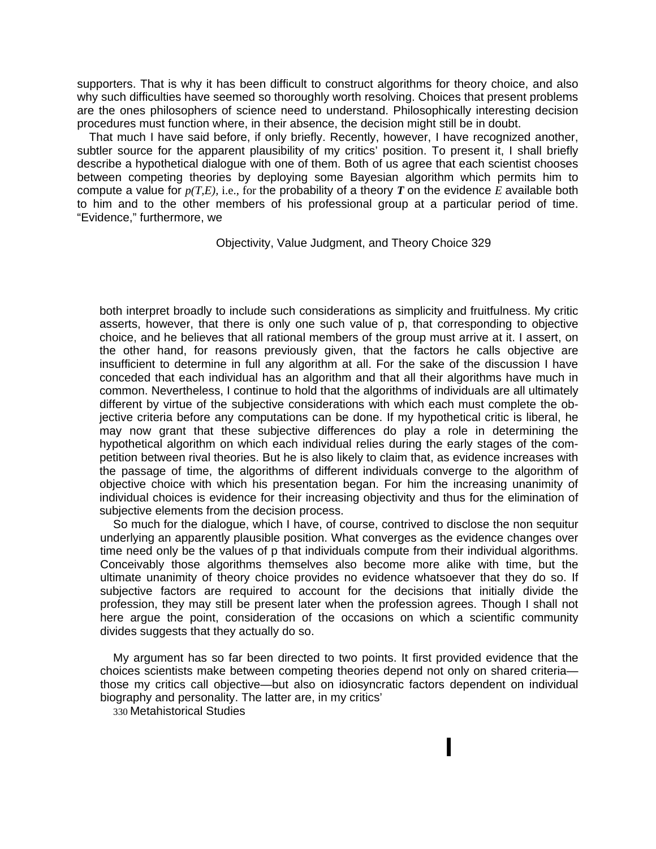supporters. That is why it has been difficult to construct algorithms for theory choice, and also why such difficulties have seemed so thoroughly worth resolving. Choices that present problems are the ones philosophers of science need to understand. Philosophically interesting decision procedures must function where, in their absence, the decision might still be in doubt.

That much I have said before, if only briefly. Recently, however, I have recognized another, subtler source for the apparent plausibility of my critics' position. To present it, I shall briefly describe a hypothetical dialogue with one of them. Both of us agree that each scientist chooses between competing theories by deploying some Bayesian algorithm which permits him to compute a value for  $p(T,E)$ , i.e., for the probability of a theory T on the evidence E available both to him and to the other members of his professional group at a particular period of time. "Evidence," furthermore, we

Objectivity, Value Judgment, and Theory Choice 329

both interpret broadly to include such considerations as simplicity and fruitfulness. My critic asserts, however, that there is only one such value of p, that corresponding to objective choice, and he believes that all rational members of the group must arrive at it. I assert, on the other hand, for reasons previously given, that the factors he calls objective are insufficient to determine in full any algorithm at all. For the sake of the discussion I have conceded that each individual has an algorithm and that all their algorithms have much in common. Nevertheless, I continue to hold that the algorithms of individuals are all ultimately different by virtue of the subjective considerations with which each must complete the objective criteria before any computations can be done. If my hypothetical critic is liberal, he may now grant that these subjective differences do play a role in determining the hypothetical algorithm on which each individual relies during the early stages of the competition between rival theories. But he is also likely to claim that, as evidence increases with the passage of time, the algorithms of different individuals converge to the algorithm of objective choice with which his presentation began. For him the increasing unanimity of individual choices is evidence for their increasing objectivity and thus for the elimination of subjective elements from the decision process.

So much for the dialogue, which I have, of course, contrived to disclose the non sequitur underlying an apparently plausible position. What converges as the evidence changes over time need only be the values of p that individuals compute from their individual algorithms. Conceivably those algorithms themselves also become more alike with time, but the ultimate unanimity of theory choice provides no evidence whatsoever that they do so. If subjective factors are required to account for the decisions that initially divide the profession, they may still be present later when the profession agrees. Though I shall not here argue the point, consideration of the occasions on which a scientific community divides suggests that they actually do so.

My argument has so far been directed to two points. It first provided evidence that the choices scientists make between competing theories depend not only on shared criteria those my critics call objective—but also on idiosyncratic factors dependent on individual biography and personality. The latter are, in my critics'

**I** 

330 Metahistorical Studies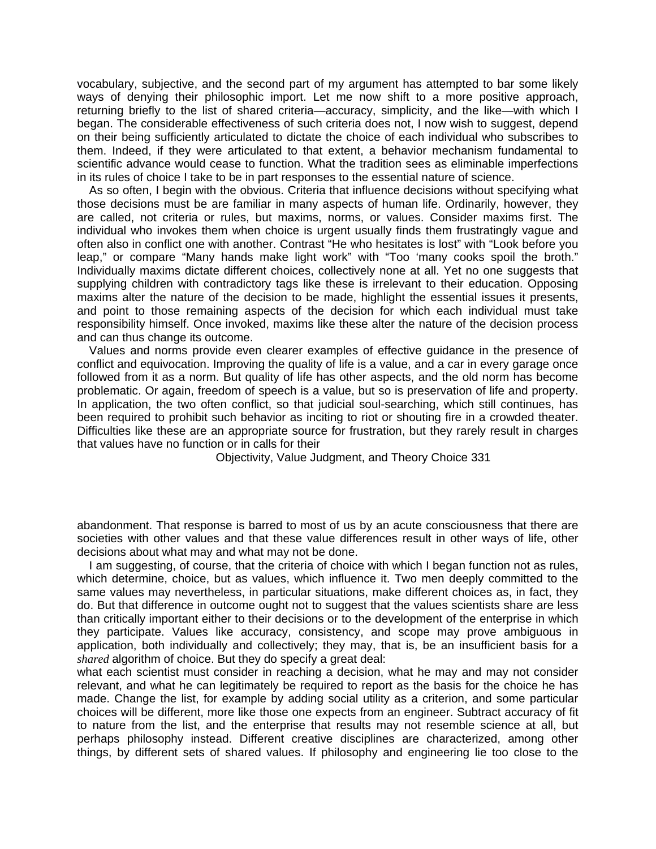vocabulary, subjective, and the second part of my argument has attempted to bar some likely ways of denying their philosophic import. Let me now shift to a more positive approach, returning briefly to the list of shared criteria—accuracy, simplicity, and the like—with which I began. The considerable effectiveness of such criteria does not, I now wish to suggest, depend on their being sufficiently articulated to dictate the choice of each individual who subscribes to them. Indeed, if they were articulated to that extent, a behavior mechanism fundamental to scientific advance would cease to function. What the tradition sees as eliminable imperfections in its rules of choice I take to be in part responses to the essential nature of science.

As so often, I begin with the obvious. Criteria that influence decisions without specifying what those decisions must be are familiar in many aspects of human life. Ordinarily, however, they are called, not criteria or rules, but maxims, norms, or values. Consider maxims first. The individual who invokes them when choice is urgent usually finds them frustratingly vague and often also in conflict one with another. Contrast "He who hesitates is lost" with "Look before you leap," or compare "Many hands make light work" with "Too 'many cooks spoil the broth." Individually maxims dictate different choices, collectively none at all. Yet no one suggests that supplying children with contradictory tags like these is irrelevant to their education. Opposing maxims alter the nature of the decision to be made, highlight the essential issues it presents, and point to those remaining aspects of the decision for which each individual must take responsibility himself. Once invoked, maxims like these alter the nature of the decision process and can thus change its outcome.

Values and norms provide even clearer examples of effective guidance in the presence of conflict and equivocation. Improving the quality of life is a value, and a car in every garage once followed from it as a norm. But quality of life has other aspects, and the old norm has become problematic. Or again, freedom of speech is a value, but so is preservation of life and property. In application, the two often conflict, so that judicial soul-searching, which still continues, has been required to prohibit such behavior as inciting to riot or shouting fire in a crowded theater. Difficulties like these are an appropriate source for frustration, but they rarely result in charges that values have no function or in calls for their

Objectivity, Value Judgment, and Theory Choice 331

abandonment. That response is barred to most of us by an acute consciousness that there are societies with other values and that these value differences result in other ways of life, other decisions about what may and what may not be done.

I am suggesting, of course, that the criteria of choice with which I began function not as rules, which determine, choice, but as values, which influence it. Two men deeply committed to the same values may nevertheless, in particular situations, make different choices as, in fact, they do. But that difference in outcome ought not to suggest that the values scientists share are less than critically important either to their decisions or to the development of the enterprise in which they participate. Values like accuracy, consistency, and scope may prove ambiguous in application, both individually and collectively; they may, that is, be an insufficient basis for a *shared* algorithm of choice. But they do specify a great deal:

what each scientist must consider in reaching a decision, what he may and may not consider relevant, and what he can legitimately be required to report as the basis for the choice he has made. Change the list, for example by adding social utility as a criterion, and some particular choices will be different, more like those one expects from an engineer. Subtract accuracy of fit to nature from the list, and the enterprise that results may not resemble science at all, but perhaps philosophy instead. Different creative disciplines are characterized, among other things, by different sets of shared values. If philosophy and engineering lie too close to the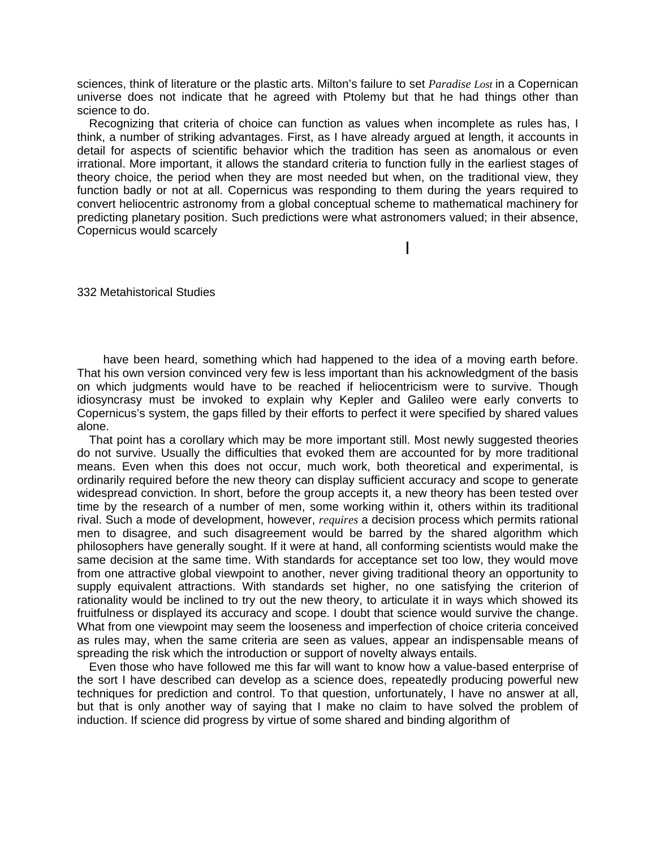sciences, think of literature or the plastic arts. Milton's failure to set *Paradise Lost* in a Copernican universe does not indicate that he agreed with Ptolemy but that he had things other than science to do.

Recognizing that criteria of choice can function as values when incomplete as rules has, I think, a number of striking advantages. First, as I have already argued at length, it accounts in detail for aspects of scientific behavior which the tradition has seen as anomalous or even irrational. More important, it allows the standard criteria to function fully in the earliest stages of theory choice, the period when they are most needed but when, on the traditional view, they function badly or not at all. Copernicus was responding to them during the years required to convert heliocentric astronomy from a global conceptual scheme to mathematical machinery for predicting planetary position. Such predictions were what astronomers valued; in their absence, Copernicus would scarcely

**In the contract of the contract of the contract of the contract of the contract of the contract of the contract of the contract of the contract of the contract of the contract of the contract of the contract of the contra** 

332 Metahistorical Studies

have been heard, something which had happened to the idea of a moving earth before. That his own version convinced very few is less important than his acknowledgment of the basis on which judgments would have to be reached if heliocentricism were to survive. Though idiosyncrasy must be invoked to explain why Kepler and Galileo were early converts to Copernicus's system, the gaps filled by their efforts to perfect it were specified by shared values alone.

That point has a corollary which may be more important still. Most newly suggested theories do not survive. Usually the difficulties that evoked them are accounted for by more traditional means. Even when this does not occur, much work, both theoretical and experimental, is ordinarily required before the new theory can display sufficient accuracy and scope to generate widespread conviction. In short, before the group accepts it, a new theory has been tested over time by the research of a number of men, some working within it, others within its traditional rival. Such a mode of development, however, *requires* a decision process which permits rational men to disagree, and such disagreement would be barred by the shared algorithm which philosophers have generally sought. If it were at hand, all conforming scientists would make the same decision at the same time. With standards for acceptance set too low, they would move from one attractive global viewpoint to another, never giving traditional theory an opportunity to supply equivalent attractions. With standards set higher, no one satisfying the criterion of rationality would be inclined to try out the new theory, to articulate it in ways which showed its fruitfulness or displayed its accuracy and scope. I doubt that science would survive the change. What from one viewpoint may seem the looseness and imperfection of choice criteria conceived as rules may, when the same criteria are seen as values, appear an indispensable means of spreading the risk which the introduction or support of novelty always entails.

Even those who have followed me this far will want to know how a value-based enterprise of the sort I have described can develop as a science does, repeatedly producing powerful new techniques for prediction and control. To that question, unfortunately, I have no answer at all, but that is only another way of saying that I make no claim to have solved the problem of induction. If science did progress by virtue of some shared and binding algorithm of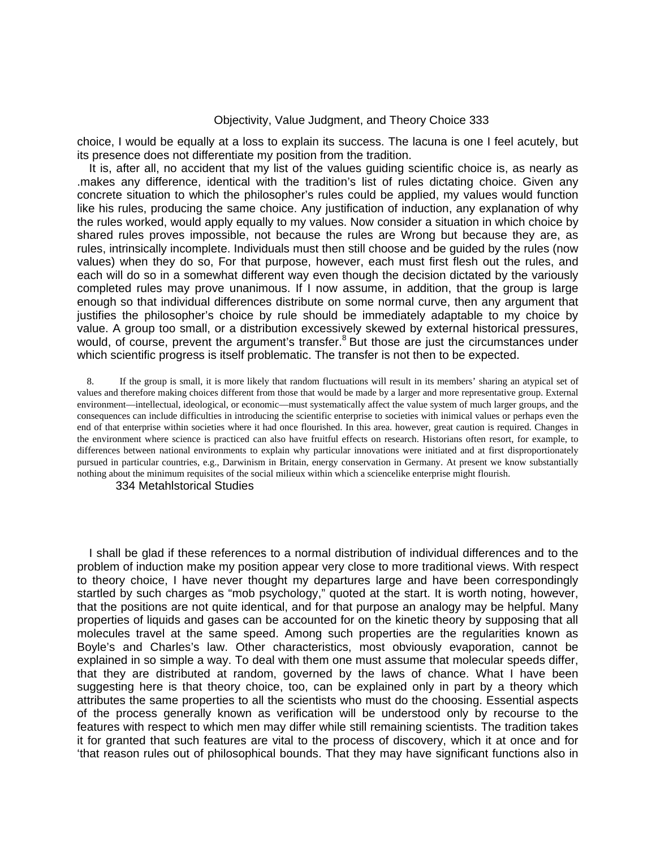## Objectivity, Value Judgment, and Theory Choice 333

choice, I would be equally at a loss to explain its success. The lacuna is one I feel acutely, but its presence does not differentiate my position from the tradition.

It is, after all, no accident that my list of the values guiding scientific choice is, as nearly as .makes any difference, identical with the tradition's list of rules dictating choice. Given any concrete situation to which the philosopher's rules could be applied, my values would function like his rules, producing the same choice. Any justification of induction, any explanation of why the rules worked, would apply equally to my values. Now consider a situation in which choice by shared rules proves impossible, not because the rules are Wrong but because they are, as rules, intrinsically incomplete. Individuals must then still choose and be guided by the rules (now values) when they do so, For that purpose, however, each must first flesh out the rules, and each will do so in a somewhat different way even though the decision dictated by the variously completed rules may prove unanimous. If I now assume, in addition, that the group is large enough so that individual differences distribute on some normal curve, then any argument that justifies the philosopher's choice by rule should be immediately adaptable to my choice by value. A group too small, or a distribution excessively skewed by external historical pressures, would, of course, prevent the argument's transfer.<sup>8</sup> But those are just the circumstances under which scientific progress is itself problematic. The transfer is not then to be expected.

8. If the group is small, it is more likely that random fluctuations will result in its members' sharing an atypical set of values and therefore making choices different from those that would be made by a larger and more representative group. External environment—intellectual, ideological, or economic—must systematically affect the value system of much larger groups, and the consequences can include difficulties in introducing the scientific enterprise to societies with inimical values or perhaps even the end of that enterprise within societies where it had once flourished. In this area. however, great caution is required. Changes in the environment where science is practiced can also have fruitful effects on research. Historians often resort, for example, to differences between national environments to explain why particular innovations were initiated and at first disproportionately pursued in particular countries, e.g., Darwinism in Britain, energy conservation in Germany. At present we know substantially nothing about the minimum requisites of the social milieux within which a sciencelike enterprise might flourish.

334 Metahlstorical Studies

I shall be glad if these references to a normal distribution of individual differences and to the problem of induction make my position appear very close to more traditional views. With respect to theory choice, I have never thought my departures large and have been correspondingly startled by such charges as "mob psychology," quoted at the start. It is worth noting, however, that the positions are not quite identical, and for that purpose an analogy may be helpful. Many properties of liquids and gases can be accounted for on the kinetic theory by supposing that all molecules travel at the same speed. Among such properties are the regularities known as Boyle's and Charles's law. Other characteristics, most obviously evaporation, cannot be explained in so simple a way. To deal with them one must assume that molecular speeds differ, that they are distributed at random, governed by the laws of chance. What I have been suggesting here is that theory choice, too, can be explained only in part by a theory which attributes the same properties to all the scientists who must do the choosing. Essential aspects of the process generally known as verification will be understood only by recourse to the features with respect to which men may differ while still remaining scientists. The tradition takes it for granted that such features are vital to the process of discovery, which it at once and for 'that reason rules out of philosophical bounds. That they may have significant functions also in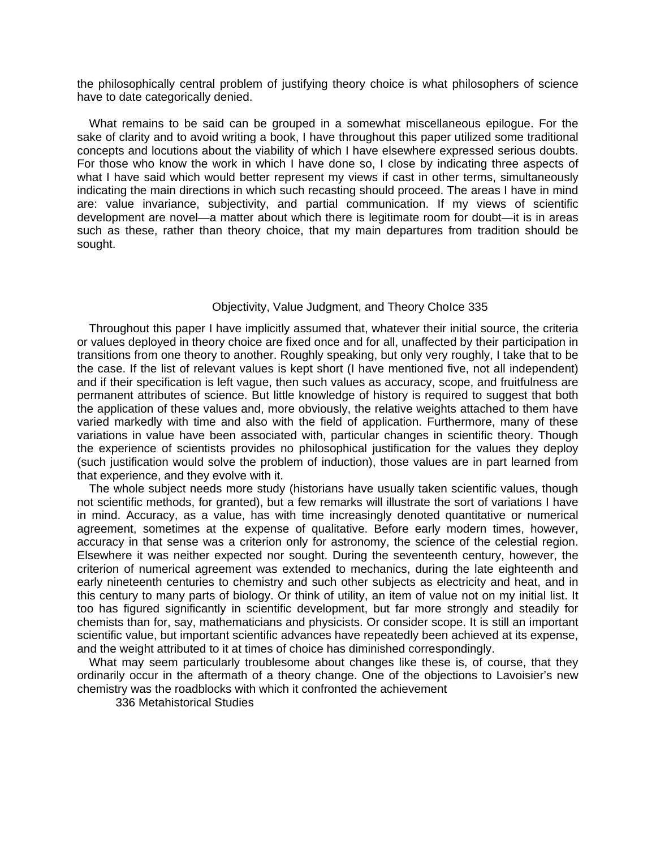the philosophically central problem of justifying theory choice is what philosophers of science have to date categorically denied.

What remains to be said can be grouped in a somewhat miscellaneous epilogue. For the sake of clarity and to avoid writing a book, I have throughout this paper utilized some traditional concepts and locutions about the viability of which I have elsewhere expressed serious doubts. For those who know the work in which I have done so, I close by indicating three aspects of what I have said which would better represent my views if cast in other terms, simultaneously indicating the main directions in which such recasting should proceed. The areas I have in mind are: value invariance, subjectivity, and partial communication. If my views of scientific development are novel—a matter about which there is legitimate room for doubt—it is in areas such as these, rather than theory choice, that my main departures from tradition should be sought.

### Objectivity, Value Judgment, and Theory ChoIce 335

Throughout this paper I have implicitly assumed that, whatever their initial source, the criteria or values deployed in theory choice are fixed once and for all, unaffected by their participation in transitions from one theory to another. Roughly speaking, but only very roughly, I take that to be the case. If the list of relevant values is kept short (I have mentioned five, not all independent) and if their specification is left vague, then such values as accuracy, scope, and fruitfulness are permanent attributes of science. But little knowledge of history is required to suggest that both the application of these values and, more obviously, the relative weights attached to them have varied markedly with time and also with the field of application. Furthermore, many of these variations in value have been associated with, particular changes in scientific theory. Though the experience of scientists provides no philosophical justification for the values they deploy (such justification would solve the problem of induction), those values are in part learned from that experience, and they evolve with it.

The whole subject needs more study (historians have usually taken scientific values, though not scientific methods, for granted), but a few remarks will illustrate the sort of variations I have in mind. Accuracy, as a value, has with time increasingly denoted quantitative or numerical agreement, sometimes at the expense of qualitative. Before early modern times, however, accuracy in that sense was a criterion only for astronomy, the science of the celestial region. Elsewhere it was neither expected nor sought. During the seventeenth century, however, the criterion of numerical agreement was extended to mechanics, during the late eighteenth and early nineteenth centuries to chemistry and such other subjects as electricity and heat, and in this century to many parts of biology. Or think of utility, an item of value not on my initial list. It too has figured significantly in scientific development, but far more strongly and steadily for chemists than for, say, mathematicians and physicists. Or consider scope. It is still an important scientific value, but important scientific advances have repeatedly been achieved at its expense, and the weight attributed to it at times of choice has diminished correspondingly.

What may seem particularly troublesome about changes like these is, of course, that they ordinarily occur in the aftermath of a theory change. One of the objections to Lavoisier's new chemistry was the roadblocks with which it confronted the achievement

336 Metahistorical Studies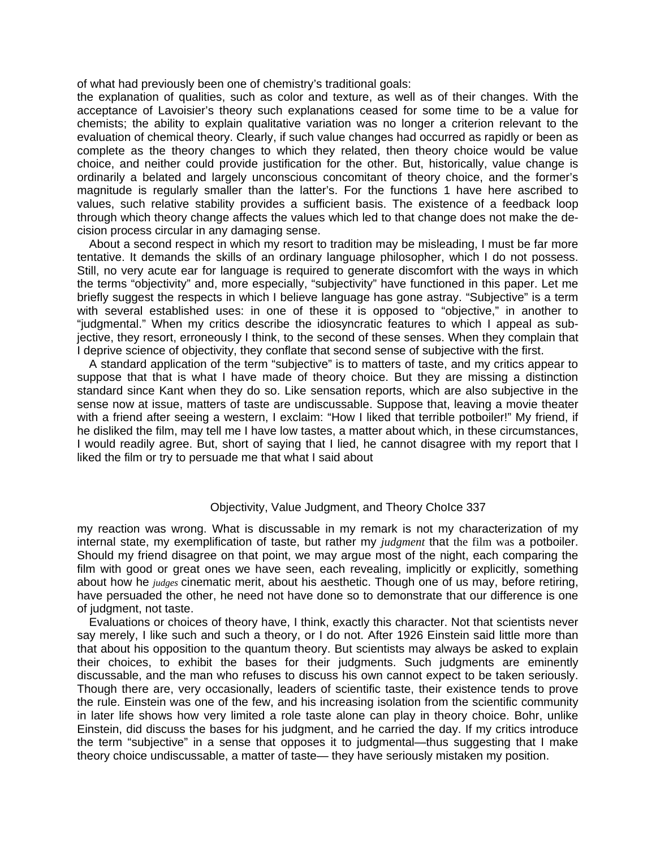of what had previously been one of chemistry's traditional goals:

the explanation of qualities, such as color and texture, as well as of their changes. With the acceptance of Lavoisier's theory such explanations ceased for some time to be a value for chemists; the ability to explain qualitative variation was no longer a criterion relevant to the evaluation of chemical theory. Clearly, if such value changes had occurred as rapidly or been as complete as the theory changes to which they related, then theory choice would be value choice, and neither could provide justification for the other. But, historically, value change is ordinarily a belated and largely unconscious concomitant of theory choice, and the former's magnitude is regularly smaller than the latter's. For the functions 1 have here ascribed to values, such relative stability provides a sufficient basis. The existence of a feedback loop through which theory change affects the values which led to that change does not make the decision process circular in any damaging sense.

About a second respect in which my resort to tradition may be misleading, I must be far more tentative. It demands the skills of an ordinary language philosopher, which I do not possess. Still, no very acute ear for language is required to generate discomfort with the ways in which the terms "objectivity" and, more especially, "subjectivity" have functioned in this paper. Let me briefly suggest the respects in which I believe language has gone astray. "Subjective" is a term with several established uses: in one of these it is opposed to "objective," in another to "judgmental." When my critics describe the idiosyncratic features to which I appeal as subjective, they resort, erroneously I think, to the second of these senses. When they complain that I deprive science of objectivity, they conflate that second sense of subjective with the first.

A standard application of the term "subjective" is to matters of taste, and my critics appear to suppose that that is what I have made of theory choice. But they are missing a distinction standard since Kant when they do so. Like sensation reports, which are also subjective in the sense now at issue, matters of taste are undiscussable. Suppose that, leaving a movie theater with a friend after seeing a western, I exclaim: "How I liked that terrible potboiler!" My friend, if he disliked the film, may tell me I have low tastes, a matter about which, in these circumstances, I would readily agree. But, short of saying that I lied, he cannot disagree with my report that I liked the film or try to persuade me that what I said about

### Objectivity, Value Judgment, and Theory ChoIce 337

my reaction was wrong. What is discussable in my remark is not my characterization of my internal state, my exemplification of taste, but rather my *judgment* that the film was a potboiler. Should my friend disagree on that point, we may argue most of the night, each comparing the film with good or great ones we have seen, each revealing, implicitly or explicitly, something about how he *judges* cinematic merit, about his aesthetic. Though one of us may, before retiring, have persuaded the other, he need not have done so to demonstrate that our difference is one of judgment, not taste.

Evaluations or choices of theory have, I think, exactly this character. Not that scientists never say merely, I like such and such a theory, or I do not. After 1926 Einstein said little more than that about his opposition to the quantum theory. But scientists may always be asked to explain their choices, to exhibit the bases for their judgments. Such judgments are eminently discussable, and the man who refuses to discuss his own cannot expect to be taken seriously. Though there are, very occasionally, leaders of scientific taste, their existence tends to prove the rule. Einstein was one of the few, and his increasing isolation from the scientific community in later life shows how very limited a role taste alone can play in theory choice. Bohr, unlike Einstein, did discuss the bases for his judgment, and he carried the day. If my critics introduce the term "subjective" in a sense that opposes it to judgmental—thus suggesting that I make theory choice undiscussable, a matter of taste— they have seriously mistaken my position.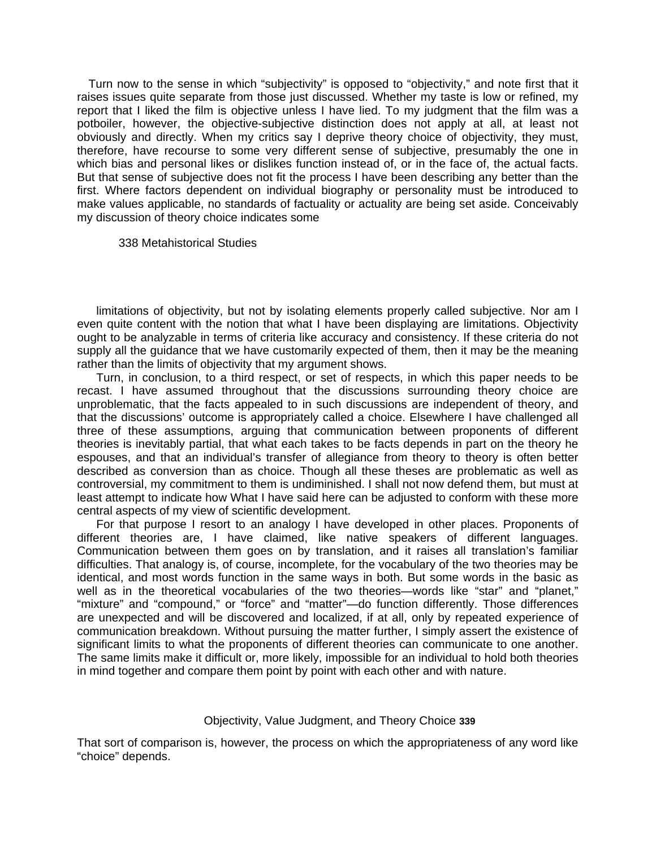Turn now to the sense in which "subjectivity" is opposed to "objectivity," and note first that it raises issues quite separate from those just discussed. Whether my taste is low or refined, my report that I liked the film is objective unless I have lied. To my judgment that the film was a potboiler, however, the objective-subjective distinction does not apply at all, at least not obviously and directly. When my critics say I deprive theory choice of objectivity, they must, therefore, have recourse to some very different sense of subjective, presumably the one in which bias and personal likes or dislikes function instead of, or in the face of, the actual facts. But that sense of subjective does not fit the process I have been describing any better than the first. Where factors dependent on individual biography or personality must be introduced to make values applicable, no standards of factuality or actuality are being set aside. Conceivably my discussion of theory choice indicates some

338 Metahistorical Studies

limitations of objectivity, but not by isolating elements properly called subjective. Nor am I even quite content with the notion that what I have been displaying are limitations. Objectivity ought to be analyzable in terms of criteria like accuracy and consistency. If these criteria do not supply all the guidance that we have customarily expected of them, then it may be the meaning rather than the limits of objectivity that my argument shows.

Turn, in conclusion, to a third respect, or set of respects, in which this paper needs to be recast. I have assumed throughout that the discussions surrounding theory choice are unproblematic, that the facts appealed to in such discussions are independent of theory, and that the discussions' outcome is appropriately called a choice. Elsewhere I have challenged all three of these assumptions, arguing that communication between proponents of different theories is inevitably partial, that what each takes to be facts depends in part on the theory he espouses, and that an individual's transfer of allegiance from theory to theory is often better described as conversion than as choice. Though all these theses are problematic as well as controversial, my commitment to them is undiminished. I shall not now defend them, but must at least attempt to indicate how What I have said here can be adjusted to conform with these more central aspects of my view of scientific development.

For that purpose I resort to an analogy I have developed in other places. Proponents of different theories are, I have claimed, like native speakers of different languages. Communication between them goes on by translation, and it raises all translation's familiar difficulties. That analogy is, of course, incomplete, for the vocabulary of the two theories may be identical, and most words function in the same ways in both. But some words in the basic as well as in the theoretical vocabularies of the two theories—words like "star" and "planet," "mixture" and "compound," or "force" and "matter"—do function differently. Those differences are unexpected and will be discovered and localized, if at all, only by repeated experience of communication breakdown. Without pursuing the matter further, I simply assert the existence of significant limits to what the proponents of different theories can communicate to one another. The same limits make it difficult or, more likely, impossible for an individual to hold both theories in mind together and compare them point by point with each other and with nature.

# Objectivity, Value Judgment, and Theory Choice **339**

That sort of comparison is, however, the process on which the appropriateness of any word like "choice" depends.